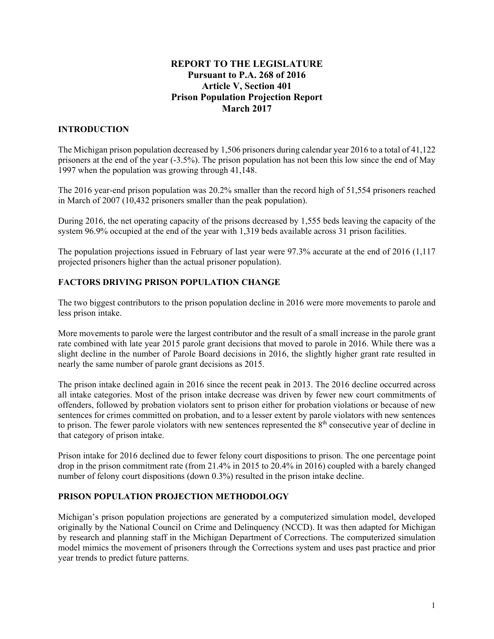# **REPORT TO THE LEGISLATURE Pursuant to P.A. 268 of 2016 Article V, Section 401 Prison Population Projection Report March 2017**

# **INTRODUCTION**

The Michigan prison population decreased by 1,506 prisoners during calendar year 2016 to a total of 41,122 prisoners at the end of the year (-3.5%). The prison population has not been this low since the end of May 1997 when the population was growing through 41,148.

The 2016 year-end prison population was 20.2% smaller than the record high of 51,554 prisoners reached in March of 2007 (10,432 prisoners smaller than the peak population).

During 2016, the net operating capacity of the prisons decreased by 1,555 beds leaving the capacity of the system 96.9% occupied at the end of the year with 1,319 beds available across 31 prison facilities.

The population projections issued in February of last year were 97.3% accurate at the end of 2016 (1,117 projected prisoners higher than the actual prisoner population).

# **FACTORS DRIVING PRISON POPULATION CHANGE**

The two biggest contributors to the prison population decline in 2016 were more movements to parole and less prison intake.

More movements to parole were the largest contributor and the result of a small increase in the parole grant rate combined with late year 2015 parole grant decisions that moved to parole in 2016. While there was a slight decline in the number of Parole Board decisions in 2016, the slightly higher grant rate resulted in nearly the same number of parole grant decisions as 2015.

The prison intake declined again in 2016 since the recent peak in 2013. The 2016 decline occurred across all intake categories. Most of the prison intake decrease was driven by fewer new court commitments of offenders, followed by probation violators sent to prison either for probation violations or because of new sentences for crimes committed on probation, and to a lesser extent by parole violators with new sentences to prison. The fewer parole violators with new sentences represented the  $8<sup>th</sup>$  consecutive year of decline in that category of prison intake.

Prison intake for 2016 declined due to fewer felony court dispositions to prison. The one percentage point drop in the prison commitment rate (from 21.4% in 2015 to 20.4% in 2016) coupled with a barely changed number of felony court dispositions (down 0.3%) resulted in the prison intake decline.

# **PRISON POPULATION PROJECTION METHODOLOGY**

Michigan's prison population projections are generated by a computerized simulation model, developed originally by the National Council on Crime and Delinquency (NCCD). It was then adapted for Michigan by research and planning staff in the Michigan Department of Corrections. The computerized simulation model mimics the movement of prisoners through the Corrections system and uses past practice and prior year trends to predict future patterns.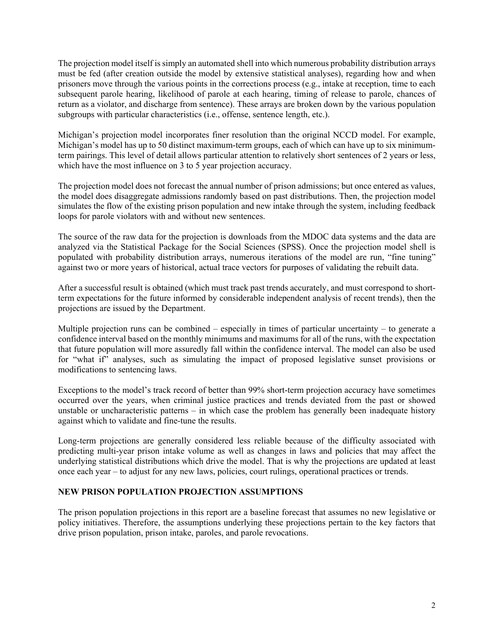The projection model itself is simply an automated shell into which numerous probability distribution arrays must be fed (after creation outside the model by extensive statistical analyses), regarding how and when prisoners move through the various points in the corrections process (e.g., intake at reception, time to each subsequent parole hearing, likelihood of parole at each hearing, timing of release to parole, chances of return as a violator, and discharge from sentence). These arrays are broken down by the various population subgroups with particular characteristics (i.e., offense, sentence length, etc.).

Michigan's projection model incorporates finer resolution than the original NCCD model. For example, Michigan's model has up to 50 distinct maximum-term groups, each of which can have up to six minimumterm pairings. This level of detail allows particular attention to relatively short sentences of 2 years or less, which have the most influence on 3 to 5 year projection accuracy.

The projection model does not forecast the annual number of prison admissions; but once entered as values, the model does disaggregate admissions randomly based on past distributions. Then, the projection model simulates the flow of the existing prison population and new intake through the system, including feedback loops for parole violators with and without new sentences.

The source of the raw data for the projection is downloads from the MDOC data systems and the data are analyzed via the Statistical Package for the Social Sciences (SPSS). Once the projection model shell is populated with probability distribution arrays, numerous iterations of the model are run, "fine tuning" against two or more years of historical, actual trace vectors for purposes of validating the rebuilt data.

After a successful result is obtained (which must track past trends accurately, and must correspond to shortterm expectations for the future informed by considerable independent analysis of recent trends), then the projections are issued by the Department.

Multiple projection runs can be combined – especially in times of particular uncertainty – to generate a confidence interval based on the monthly minimums and maximums for all of the runs, with the expectation that future population will more assuredly fall within the confidence interval. The model can also be used for "what if" analyses, such as simulating the impact of proposed legislative sunset provisions or modifications to sentencing laws.

Exceptions to the model's track record of better than 99% short-term projection accuracy have sometimes occurred over the years, when criminal justice practices and trends deviated from the past or showed unstable or uncharacteristic patterns – in which case the problem has generally been inadequate history against which to validate and fine-tune the results.

Long-term projections are generally considered less reliable because of the difficulty associated with predicting multi-year prison intake volume as well as changes in laws and policies that may affect the underlying statistical distributions which drive the model. That is why the projections are updated at least once each year – to adjust for any new laws, policies, court rulings, operational practices or trends.

### **NEW PRISON POPULATION PROJECTION ASSUMPTIONS**

The prison population projections in this report are a baseline forecast that assumes no new legislative or policy initiatives. Therefore, the assumptions underlying these projections pertain to the key factors that drive prison population, prison intake, paroles, and parole revocations.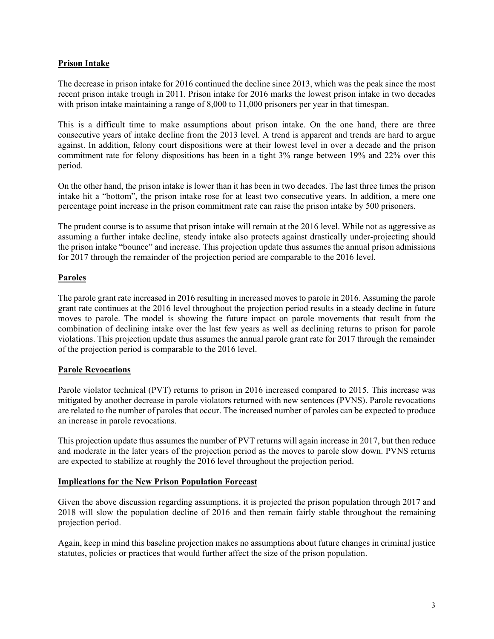## **Prison Intake**

The decrease in prison intake for 2016 continued the decline since 2013, which was the peak since the most recent prison intake trough in 2011. Prison intake for 2016 marks the lowest prison intake in two decades with prison intake maintaining a range of 8,000 to 11,000 prisoners per year in that timespan.

This is a difficult time to make assumptions about prison intake. On the one hand, there are three consecutive years of intake decline from the 2013 level. A trend is apparent and trends are hard to argue against. In addition, felony court dispositions were at their lowest level in over a decade and the prison commitment rate for felony dispositions has been in a tight 3% range between 19% and 22% over this period.

On the other hand, the prison intake is lower than it has been in two decades. The last three times the prison intake hit a "bottom", the prison intake rose for at least two consecutive years. In addition, a mere one percentage point increase in the prison commitment rate can raise the prison intake by 500 prisoners.

The prudent course is to assume that prison intake will remain at the 2016 level. While not as aggressive as assuming a further intake decline, steady intake also protects against drastically under-projecting should the prison intake "bounce" and increase. This projection update thus assumes the annual prison admissions for 2017 through the remainder of the projection period are comparable to the 2016 level.

# **Paroles**

The parole grant rate increased in 2016 resulting in increased moves to parole in 2016. Assuming the parole grant rate continues at the 2016 level throughout the projection period results in a steady decline in future moves to parole. The model is showing the future impact on parole movements that result from the combination of declining intake over the last few years as well as declining returns to prison for parole violations. This projection update thus assumes the annual parole grant rate for 2017 through the remainder of the projection period is comparable to the 2016 level.

### **Parole Revocations**

Parole violator technical (PVT) returns to prison in 2016 increased compared to 2015. This increase was mitigated by another decrease in parole violators returned with new sentences (PVNS). Parole revocations are related to the number of paroles that occur. The increased number of paroles can be expected to produce an increase in parole revocations.

This projection update thus assumes the number of PVT returns will again increase in 2017, but then reduce and moderate in the later years of the projection period as the moves to parole slow down. PVNS returns are expected to stabilize at roughly the 2016 level throughout the projection period.

### **Implications for the New Prison Population Forecast**

Given the above discussion regarding assumptions, it is projected the prison population through 2017 and 2018 will slow the population decline of 2016 and then remain fairly stable throughout the remaining projection period.

Again, keep in mind this baseline projection makes no assumptions about future changes in criminal justice statutes, policies or practices that would further affect the size of the prison population.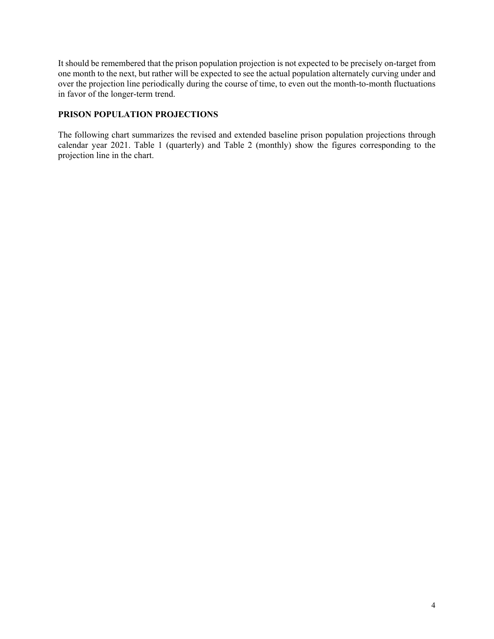It should be remembered that the prison population projection is not expected to be precisely on-target from one month to the next, but rather will be expected to see the actual population alternately curving under and over the projection line periodically during the course of time, to even out the month-to-month fluctuations in favor of the longer-term trend.

## **PRISON POPULATION PROJECTIONS**

The following chart summarizes the revised and extended baseline prison population projections through calendar year 2021. Table 1 (quarterly) and Table 2 (monthly) show the figures corresponding to the projection line in the chart.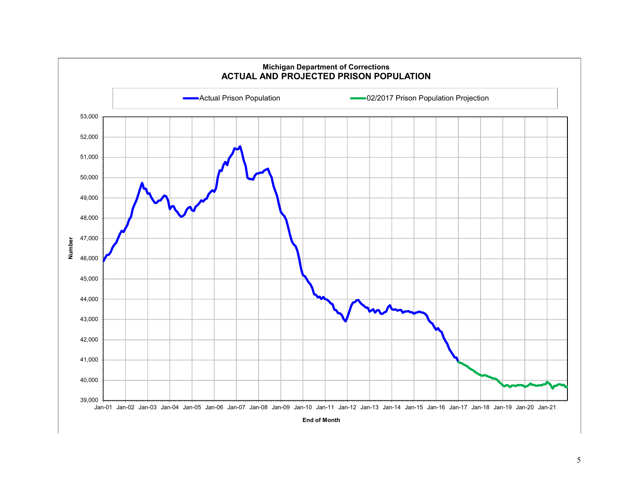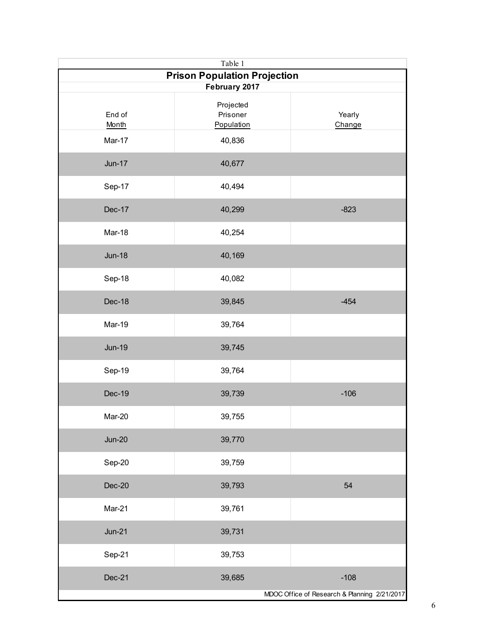| Table 1                             |                                     |                                              |  |
|-------------------------------------|-------------------------------------|----------------------------------------------|--|
| <b>Prison Population Projection</b> |                                     |                                              |  |
| February 2017                       |                                     |                                              |  |
| End of<br>Month                     | Projected<br>Prisoner<br>Population | Yearly<br>Change                             |  |
| Mar-17                              | 40,836                              |                                              |  |
| <b>Jun-17</b>                       | 40,677                              |                                              |  |
| Sep-17                              | 40,494                              |                                              |  |
| Dec-17                              | 40,299                              | $-823$                                       |  |
| Mar-18                              | 40,254                              |                                              |  |
| <b>Jun-18</b>                       | 40,169                              |                                              |  |
| Sep-18                              | 40,082                              |                                              |  |
| Dec-18                              | 39,845                              | $-454$                                       |  |
| Mar-19                              | 39,764                              |                                              |  |
| <b>Jun-19</b>                       | 39,745                              |                                              |  |
| Sep-19                              | 39,764                              |                                              |  |
| <b>Dec-19</b>                       | 39,739                              | $-106$                                       |  |
| Mar-20                              | 39,755                              |                                              |  |
| $Jun-20$                            | 39,770                              |                                              |  |
| Sep-20                              | 39,759                              |                                              |  |
| Dec-20                              | 39,793                              | 54                                           |  |
| Mar-21                              | 39,761                              |                                              |  |
| $Jun-21$                            | 39,731                              |                                              |  |
| Sep-21                              | 39,753                              |                                              |  |
| Dec-21                              | 39,685                              | $-108$                                       |  |
|                                     |                                     | MDOC Office of Research & Planning 2/21/2017 |  |